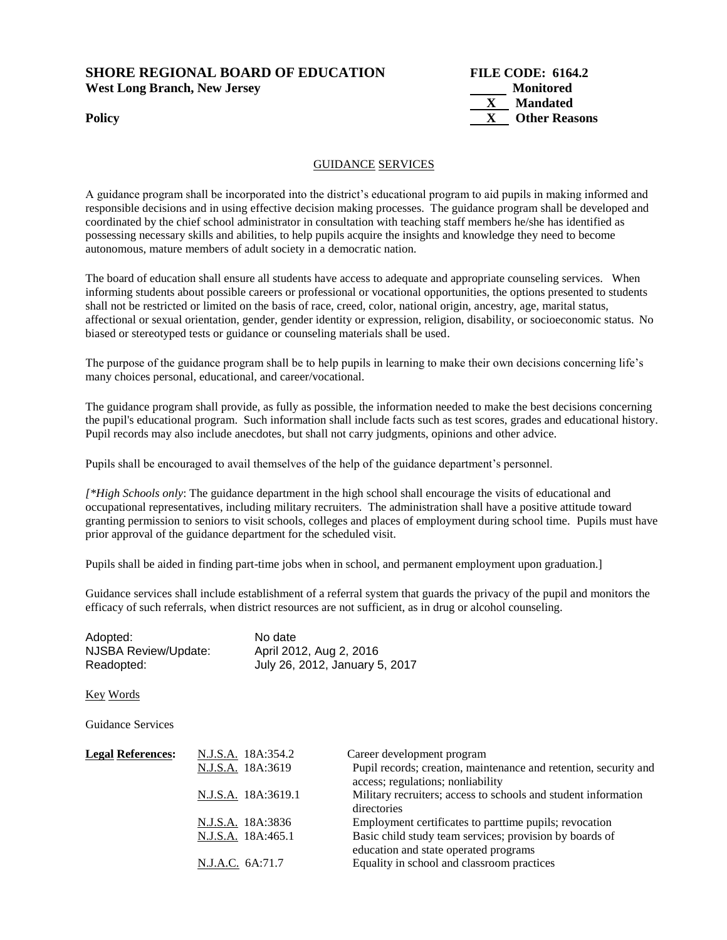### **SHORE REGIONAL BOARD OF EDUCATION FILE CODE: 6164.2 West Long Branch, New Jersey Monitored**



#### GUIDANCE SERVICES

A guidance program shall be incorporated into the district's educational program to aid pupils in making informed and responsible decisions and in using effective decision making processes. The guidance program shall be developed and coordinated by the chief school administrator in consultation with teaching staff members he/she has identified as possessing necessary skills and abilities, to help pupils acquire the insights and knowledge they need to become autonomous, mature members of adult society in a democratic nation.

The board of education shall ensure all students have access to adequate and appropriate counseling services. When informing students about possible careers or professional or vocational opportunities, the options presented to students shall not be restricted or limited on the basis of race, creed, color, national origin, ancestry, age, marital status, affectional or sexual orientation, gender, gender identity or expression, religion, disability, or socioeconomic status. No biased or stereotyped tests or guidance or counseling materials shall be used.

The purpose of the guidance program shall be to help pupils in learning to make their own decisions concerning life's many choices personal, educational, and career/vocational.

The guidance program shall provide, as fully as possible, the information needed to make the best decisions concerning the pupil's educational program. Such information shall include facts such as test scores, grades and educational history. Pupil records may also include anecdotes, but shall not carry judgments, opinions and other advice.

Pupils shall be encouraged to avail themselves of the help of the guidance department's personnel.

*[\*High Schools only*: The guidance department in the high school shall encourage the visits of educational and occupational representatives, including military recruiters. The administration shall have a positive attitude toward granting permission to seniors to visit schools, colleges and places of employment during school time. Pupils must have prior approval of the guidance department for the scheduled visit.

Pupils shall be aided in finding part-time jobs when in school, and permanent employment upon graduation.]

Guidance services shall include establishment of a referral system that guards the privacy of the pupil and monitors the efficacy of such referrals, when district resources are not sufficient, as in drug or alcohol counseling.

| Adopted:             | No date                        |
|----------------------|--------------------------------|
| NJSBA Review/Update: | April 2012, Aug 2, 2016        |
| Readopted:           | July 26, 2012, January 5, 2017 |

Key Words

Guidance Services

| <b>Legal References:</b> | N.J.S.A. 18A:354.2<br>N.J.S.A. 18A:3619 | Career development program<br>Pupil records; creation, maintenance and retention, security and<br>access; regulations; nonliability |
|--------------------------|-----------------------------------------|-------------------------------------------------------------------------------------------------------------------------------------|
|                          | N.J.S.A. 18A:3619.1                     | Military recruiters; access to schools and student information<br>directories                                                       |
|                          | N.J.S.A. 18A:3836                       | Employment certificates to parttime pupils; revocation                                                                              |
|                          | N.J.S.A. 18A:465.1                      | Basic child study team services; provision by boards of<br>education and state operated programs                                    |
|                          | N.J.A.C. 6A:71.7                        | Equality in school and classroom practices                                                                                          |